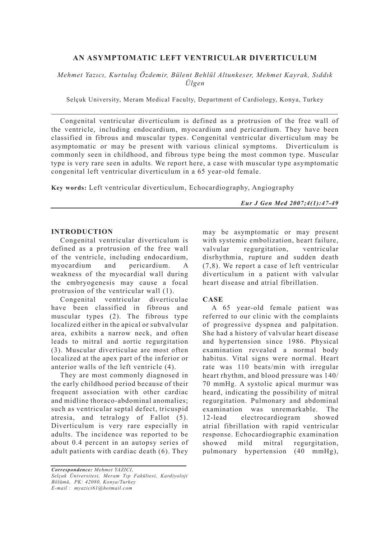# **AN ASYMPTOMATIC LEFT VENTRICULAR DIVERTICULUM**

*Mehmet Yazıcı, Kurtuluş Özdemir, Bülent Behlül Altunkeser, Mehmet Kayrak, Sıddık Ülgen*

Selçuk University, Meram Medical Faculty, Department of Cardiology, Konya, Turkey

Congenital ventricular diverticulum is defined as a protrusion of the free wall of the ventricle, including endocardium, myocardium and pericardium. They have been classified in fibrous and muscular types. Congenital ventricular diverticulum may be asymptomatic or may be present with various clinical symptoms. Diverticulum is commonly seen in childhood, and fibrous type being the most common type. Muscular type is very rare seen in adults. We report here, a case with muscular type asymptomatic congenital left ventricular diverticulum in a 65 year-old female.

**Key words:** Left ventricular diverticulum, Echocardiography, Angiography

*Eur J Gen Med 2007;4(1):47-49*

## **INTRODUCTION**

Congenital ventricular diverticulum is defined as a protrusion of the free wall of the ventricle, including endocardium, myocardium and pericardium. A weakness of the myocardial wall during the embryogenesis may cause a focal protrusion of the ventricular wall (1).

Congenital ventricular diverticulae have been classified in fibrous and muscular types (2). The fibrous type localized either in the apical or subvalvular area, exhibits a narrow neck, and often leads to mitral and aortic regurgitation (3). Muscular diverticulae are most often localized at the apex part of the inferior or anterior walls of the left ventricle (4).

They are most commonly diagnosed in the early childhood period because of their frequent association with other cardiac and midline thoraco-abdominal anomalies; such as ventricular septal defect, tricuspid atresia, and tetralogy of Fallot (5). Diverticulum is very rare especially in adults. The incidence was reported to be about 0.4 percent in an autopsy series of adult patients with cardiac death (6). They may be asymptomatic or may present with systemic embolization, heart failure, valvular regurgitation, ventricular disrhythmia, rupture and sudden death (7,8). We report a case of left ventricular diverticulum in a patient with valvular heart disease and atrial fibrillation.

# **CASE**

A 65 year-old female patient was referred to our clinic with the complaints of progressive dyspnea and palpitation. She had a history of valvular heart disease and hypertension since 1986. Physical examination revealed a normal body habitus. Vital signs were normal. Heart rate was 110 beats/min with irregular heart rhythm, and blood pressure was 140/ 70 mmHg. A systolic apical murmur was heard, indicating the possibility of mitral regurgitation. Pulmonary and abdominal examination was unremarkable. The 12-lead electrocardiogram showed atrial fibrillation with rapid ventricular response. Echocardiographic examination showed mild mitral regurgitation, pulmonary hypertension (40 mmHg),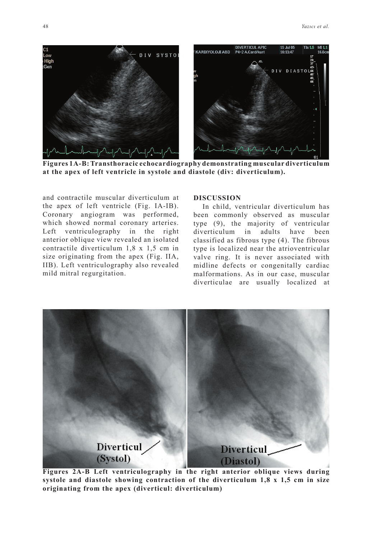

**Figures 1A-B: Transthoracic echocardiography demonstrating muscular diverticulum at the apex of left ventricle in systole and diastole (div: diverticulum).**

and contractile muscular diverticulum at the apex of left ventricle (Fig. IA-IB). Coronary angiogram was performed, which showed normal coronary arteries. Left ventriculography in the right anterior oblique view revealed an isolated contractile diverticulum 1,8 x 1,5 cm in size originating from the apex (Fig. IIA, IIB). Left ventriculography also revealed mild mitral regurgitation.

#### **DISCUSSION**

In child, ventricular diverticulum has been commonly observed as muscular type (9), the majority of ventricular diverticulum in adults have been classified as fibrous type (4). The fibrous type is localized near the atrioventricular valve ring. It is never associated with midline defects or congenitally cardiac malformations. As in our case, muscular diverticulae are usually localized at



**Figures 2A-B Left ventriculography in the right anterior oblique views during systole and diastole showing contraction of the diverticulum 1,8 x 1,5 cm in size originating from the apex (diverticul: diverticulum)**